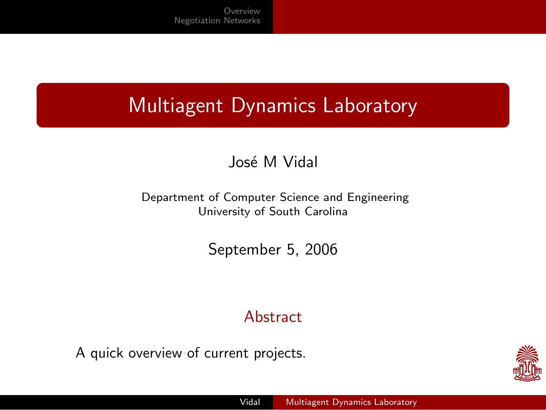#### Multiagent Dynamics Laboratory

#### José M Vidal

Department of Computer Science and Engineering University of South Carolina

September 5, 2006

#### **Abstract**

A quick overview of current projects.

<span id="page-0-0"></span>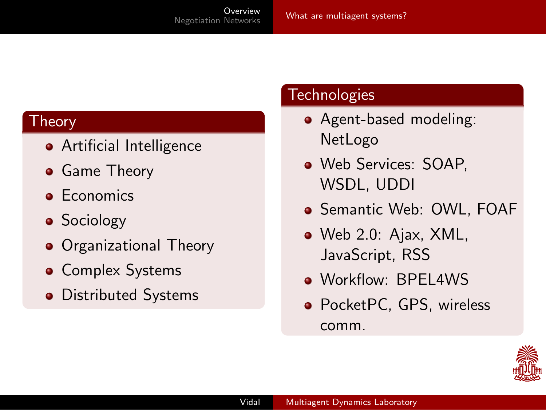#### Theory

- **•** Artificial Intelligence
- **•** Game Theory
- **•** Economics
- **•** Sociology
- **•** Organizational Theory
- **Complex Systems**
- Distributed Systems

#### **Technologies**

- Agent-based modeling: NetLogo
- Web Services: SOAP, WSDL, UDDI
- **Semantic Web: OWL, FOAF**
- Web 2.0: Ajax, XML, JavaScript, RSS
- Workflow: BPEL4WS
- PocketPC, GPS, wireless comm.

<span id="page-1-0"></span>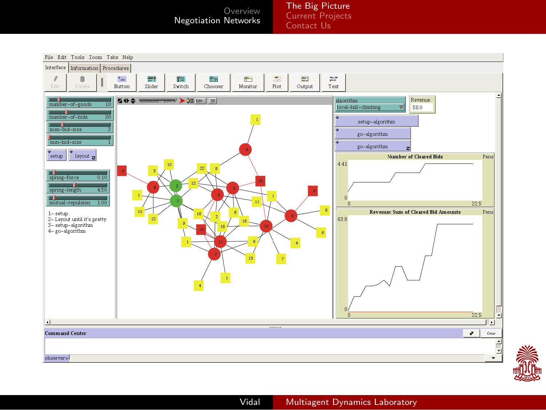[The Big Picture](#page-2-0) [Current Projects](#page-3-0) [Contact Us](#page-8-0)



<span id="page-2-0"></span>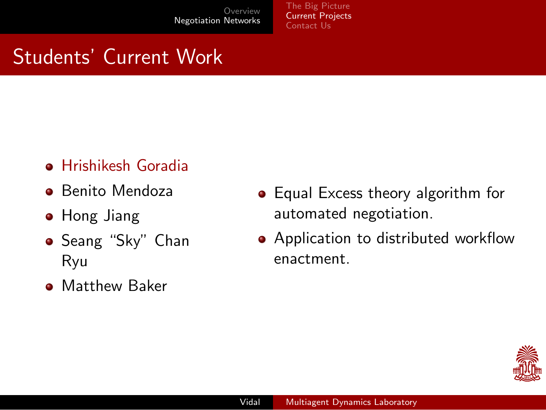[The Big Picture](#page-2-0) [Current Projects](#page-7-0) Contact Lls

- Hrishikesh Goradia
- **•** Benito Mendoza
- **•** Hong Jiang
- **•** Seang "Sky" Chan Ryu
- **Matthew Baker**
- Equal Excess theory algorithm for automated negotiation.
- Application to distributed workflow enactment.

<span id="page-3-0"></span>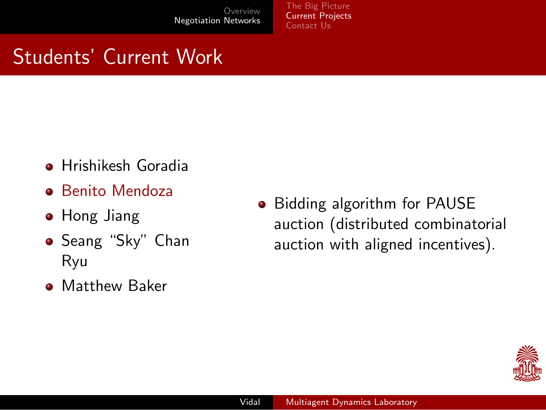[The Big Picture](#page-2-0) [Current Projects](#page-7-0) [Contact Us](#page-8-0)

# Students' Current Work

- **•** Hrishikesh Goradia
- **•** Benito Mendoza
- **•** Hong Jiang
- **•** Seang "Sky" Chan Ryu
- **Matthew Baker**

• Bidding algorithm for PAUSE auction (distributed combinatorial auction with aligned incentives).

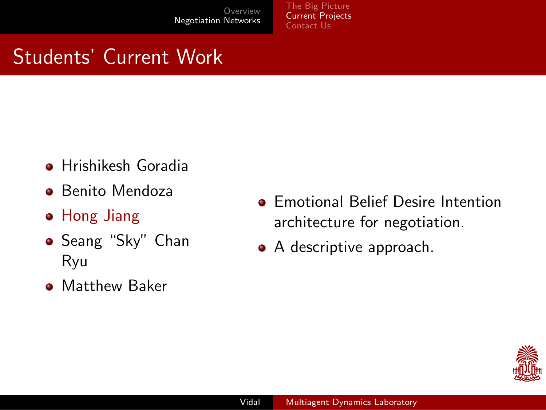[The Big Picture](#page-2-0) [Current Projects](#page-7-0) [Contact Us](#page-8-0)

- **•** Hrishikesh Goradia
- **•** Benito Mendoza
- Hong Jiang
- **•** Seang "Sky" Chan Ryu
- **Matthew Baker**
- **Emotional Belief Desire Intention** architecture for negotiation.
- A descriptive approach.

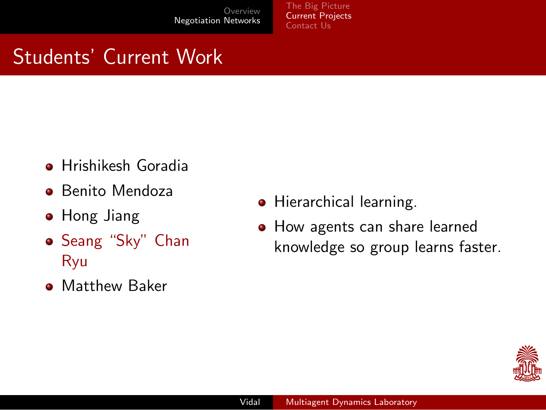[The Big Picture](#page-2-0) [Current Projects](#page-7-0) [Contact Us](#page-8-0)

- **•** Hrishikesh Goradia
- **•** Benito Mendoza
- **•** Hong Jiang
- Seang "Sky" Chan Ryu
- **Matthew Baker**
- Hierarchical learning.
- How agents can share learned knowledge so group learns faster.

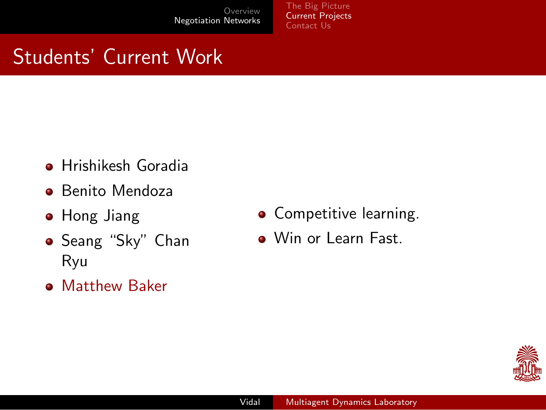[The Big Picture](#page-2-0) [Current Projects](#page-3-0) [Contact Us](#page-8-0)

- **•** Hrishikesh Goradia
- **•** Benito Mendoza
- **•** Hong Jiang
- Seang "Sky" Chan Ryu
- **Matthew Baker**
- **•** Competitive learning.
- Win or Learn Fast.

<span id="page-7-0"></span>